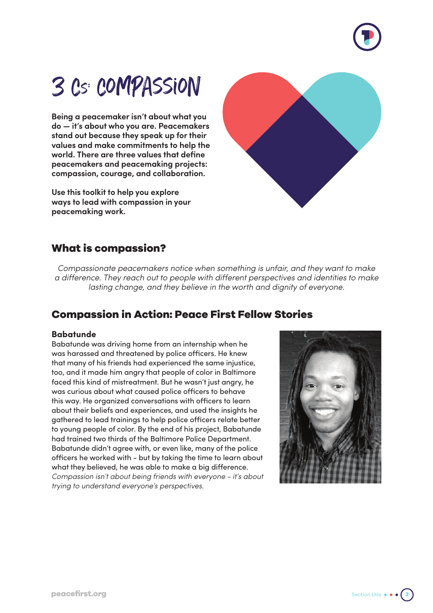

# 3 Cs: Compassion

**Being a peacemaker isn't about what you do — it's about who you are. Peacemakers stand out because they speak up for their values and make commitments to help the world. There are three values that define peacemakers and peacemaking projects: compassion, courage, and collaboration.**

**Use this toolkit to help you explore ways to lead with compassion in your peacemaking work.**



## **What is compassion?**

*Compassionate peacemakers notice when something is unfair, and they want to make a difference. They reach out to people with different perspectives and identities to make lasting change, and they believe in the worth and dignity of everyone.*

## **Compassion in Action: Peace First Fellow Stories**

#### **Babatunde**

Babatunde was driving home from an internship when he was harassed and threatened by police officers. He knew that many of his friends had experienced the same injustice, too, and it made him angry that people of color in Baltimore faced this kind of mistreatment. But he wasn't just angry, he was curious about what caused police officers to behave this way. He organized conversations with officers to learn about their beliefs and experiences, and used the insights he gathered to lead trainings to help police officers relate better to young people of color. By the end of his project, Babatunde had trained two thirds of the Baltimore Police Department. Babatunde didn't agree with, or even like, many of the police officers he worked with - but by taking the time to learn about what they believed, he was able to make a big difference. *Compassion isn't about being friends with everyone - it's about trying to understand everyone's perspectives.*



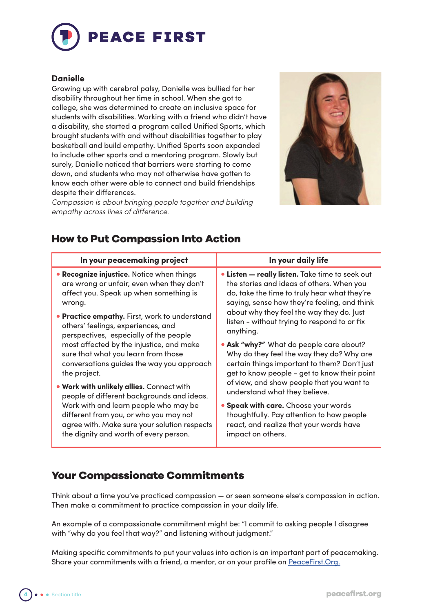

#### **Danielle**

Growing up with cerebral palsy, Danielle was bullied for her disability throughout her time in school. When she got to college, she was determined to create an inclusive space for students with disabilities. Working with a friend who didn't have a disability, she started a program called Unified Sports, which brought students with and without disabilities together to play basketball and build empathy. Unified Sports soon expanded to include other sports and a mentoring program. Slowly but surely, Danielle noticed that barriers were starting to come down, and students who may not otherwise have gotten to know each other were able to connect and build friendships despite their differences.

*Compassion is about bringing people together and building empathy across lines of difference.* 



## **How to Put Compassion Into Action**

| In your peacemaking project                                                                                                                                                                                                                                          | In your daily life                                                                                                                                                                                                                                                                                     |
|----------------------------------------------------------------------------------------------------------------------------------------------------------------------------------------------------------------------------------------------------------------------|--------------------------------------------------------------------------------------------------------------------------------------------------------------------------------------------------------------------------------------------------------------------------------------------------------|
| • Recognize injustice. Notice when things<br>are wrong or unfair, even when they don't<br>affect you. Speak up when something is<br>wrong.                                                                                                                           | • Listen — really listen. Take time to seek out<br>the stories and ideas of others. When you<br>do, take the time to truly hear what they're<br>saying, sense how they're feeling, and think<br>about why they feel the way they do. Just<br>listen - without trying to respond to or fix<br>anything. |
| • Practice empathy. First, work to understand<br>others' feelings, experiences, and<br>perspectives, especially of the people                                                                                                                                        |                                                                                                                                                                                                                                                                                                        |
| most affected by the injustice, and make<br>sure that what you learn from those<br>conversations guides the way you approach<br>the project.                                                                                                                         | . Ask "why?" What do people care about?<br>Why do they feel the way they do? Why are<br>certain things important to them? Don't just<br>get to know people - get to know their point                                                                                                                   |
| . Work with unlikely allies. Connect with<br>people of different backgrounds and ideas.<br>Work with and learn people who may be<br>different from you, or who you may not<br>agree with. Make sure your solution respects<br>the dignity and worth of every person. | of view, and show people that you want to<br>understand what they believe.                                                                                                                                                                                                                             |
|                                                                                                                                                                                                                                                                      | • Speak with care. Choose your words<br>thoughtfully. Pay attention to how people<br>react, and realize that your words have<br>impact on others.                                                                                                                                                      |

## **Your Compassionate Commitments**

Think about a time you've practiced compassion — or seen someone else's compassion in action. Then make a commitment to practice compassion in your daily life.

An example of a compassionate commitment might be: "I commit to asking people I disagree with "why do you feel that way?" and listening without judgment."

Making specific commitments to put your values into action is an important part of peacemaking. Share your commitments with a friend, a mentor, or on your profile on PeaceFirst.Org.